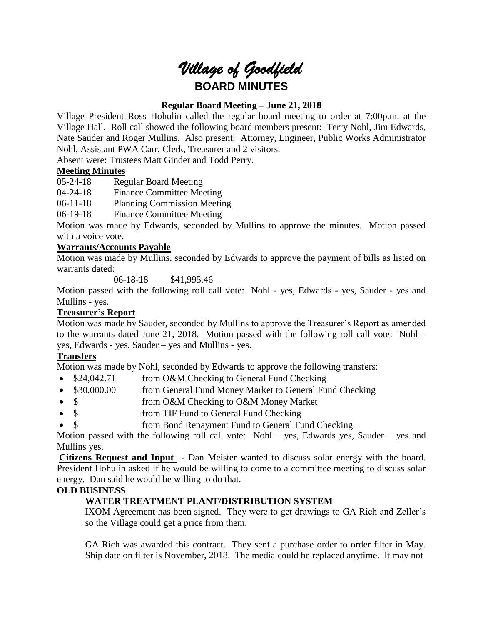# *Village of Goodfield* **BOARD MINUTES**

# **Regular Board Meeting – June 21, 2018**

Village President Ross Hohulin called the regular board meeting to order at 7:00p.m. at the Village Hall. Roll call showed the following board members present: Terry Nohl, Jim Edwards, Nate Sauder and Roger Mullins. Also present: Attorney, Engineer, Public Works Administrator Nohl, Assistant PWA Carr, Clerk, Treasurer and 2 visitors.

Absent were: Trustees Matt Ginder and Todd Perry.

## **Meeting Minutes**

05-24-18 Regular Board Meeting

04-24-18 Finance Committee Meeting

06-11-18 Planning Commission Meeting

06-19-18 Finance Committee Meeting

Motion was made by Edwards, seconded by Mullins to approve the minutes. Motion passed with a voice vote.

## **Warrants/Accounts Payable**

Motion was made by Mullins, seconded by Edwards to approve the payment of bills as listed on warrants dated:

06-18-18 \$41,995.46

Motion passed with the following roll call vote: Nohl - yes, Edwards - yes, Sauder - yes and Mullins - yes.

# **Treasurer's Report**

Motion was made by Sauder, seconded by Mullins to approve the Treasurer's Report as amended to the warrants dated June 21, 2018. Motion passed with the following roll call vote: Nohl – yes, Edwards - yes, Sauder – yes and Mullins - yes.

## **Transfers**

Motion was made by Nohl, seconded by Edwards to approve the following transfers:

- \$24,042.71 from O&M Checking to General Fund Checking
- \$30,000.00 from General Fund Money Market to General Fund Checking
- \$ from O&M Checking to O&M Money Market
- \$ from TIF Fund to General Fund Checking
- \$ from Bond Repayment Fund to General Fund Checking

Motion passed with the following roll call vote: Nohl – yes, Edwards yes, Sauder – yes and Mullins yes.

**Citizens Request and Input** - Dan Meister wanted to discuss solar energy with the board. President Hohulin asked if he would be willing to come to a committee meeting to discuss solar energy. Dan said he would be willing to do that.

## **OLD BUSINESS**

# **WATER TREATMENT PLANT/DISTRIBUTION SYSTEM**

IXOM Agreement has been signed. They were to get drawings to GA Rich and Zeller's so the Village could get a price from them.

GA Rich was awarded this contract. They sent a purchase order to order filter in May. Ship date on filter is November, 2018. The media could be replaced anytime. It may not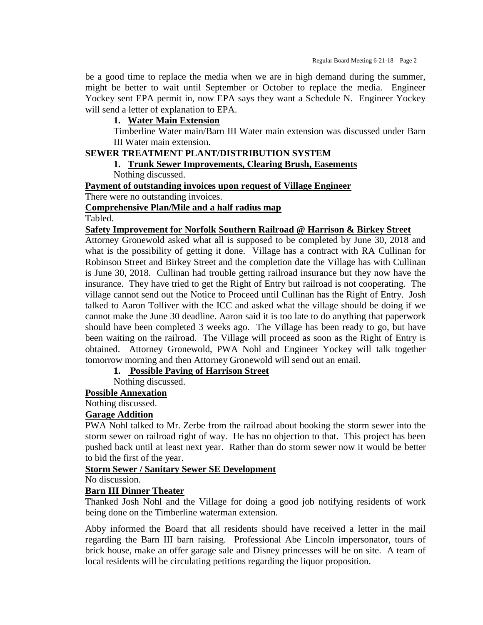be a good time to replace the media when we are in high demand during the summer, might be better to wait until September or October to replace the media. Engineer Yockey sent EPA permit in, now EPA says they want a Schedule N. Engineer Yockey will send a letter of explanation to EPA.

## **1. Water Main Extension**

Timberline Water main/Barn III Water main extension was discussed under Barn III Water main extension.

# **SEWER TREATMENT PLANT/DISTRIBUTION SYSTEM**

## **1. Trunk Sewer Improvements, Clearing Brush, Easements**

Nothing discussed.

#### **Payment of outstanding invoices upon request of Village Engineer**

There were no outstanding invoices.

#### **Comprehensive Plan/Mile and a half radius map**

Tabled.

#### **Safety Improvement for Norfolk Southern Railroad @ Harrison & Birkey Street**

Attorney Gronewold asked what all is supposed to be completed by June 30, 2018 and what is the possibility of getting it done. Village has a contract with RA Cullinan for Robinson Street and Birkey Street and the completion date the Village has with Cullinan is June 30, 2018. Cullinan had trouble getting railroad insurance but they now have the insurance. They have tried to get the Right of Entry but railroad is not cooperating. The village cannot send out the Notice to Proceed until Cullinan has the Right of Entry. Josh talked to Aaron Tolliver with the ICC and asked what the village should be doing if we cannot make the June 30 deadline. Aaron said it is too late to do anything that paperwork should have been completed 3 weeks ago. The Village has been ready to go, but have been waiting on the railroad. The Village will proceed as soon as the Right of Entry is obtained. Attorney Gronewold, PWA Nohl and Engineer Yockey will talk together tomorrow morning and then Attorney Gronewold will send out an email.

### **1. Possible Paving of Harrison Street**

Nothing discussed.

#### **Possible Annexation**

Nothing discussed.

#### **Garage Addition**

PWA Nohl talked to Mr. Zerbe from the railroad about hooking the storm sewer into the storm sewer on railroad right of way. He has no objection to that. This project has been pushed back until at least next year. Rather than do storm sewer now it would be better to bid the first of the year.

#### **Storm Sewer / Sanitary Sewer SE Development**

No discussion.

## **Barn III Dinner Theater**

Thanked Josh Nohl and the Village for doing a good job notifying residents of work being done on the Timberline waterman extension.

Abby informed the Board that all residents should have received a letter in the mail regarding the Barn III barn raising. Professional Abe Lincoln impersonator, tours of brick house, make an offer garage sale and Disney princesses will be on site. A team of local residents will be circulating petitions regarding the liquor proposition.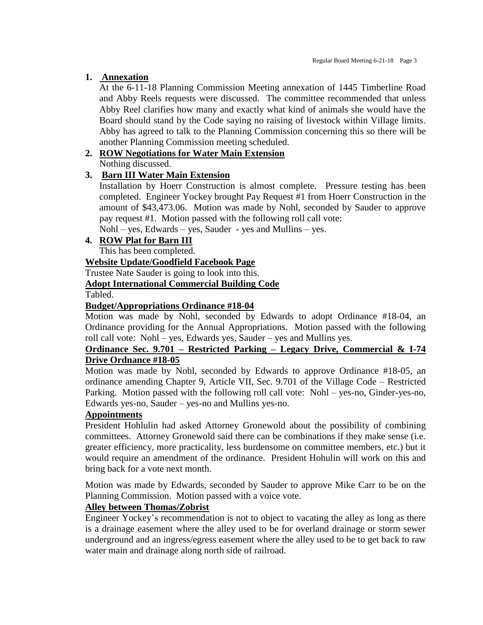# **1. Annexation**

At the 6-11-18 Planning Commission Meeting annexation of 1445 Timberline Road and Abby Reels requests were discussed. The committee recommended that unless Abby Reel clarifies how many and exactly what kind of animals she would have the Board should stand by the Code saying no raising of livestock within Village limits. Abby has agreed to talk to the Planning Commission concerning this so there will be another Planning Commission meeting scheduled.

# **2. ROW Negotiations for Water Main Extension**

Nothing discussed.

# **3. Barn III Water Main Extension**

Installation by Hoerr Construction is almost complete. Pressure testing has been completed. Engineer Yockey brought Pay Request #1 from Hoerr Construction in the amount of \$43,473.06. Motion was made by Nohl, seconded by Sauder to approve pay request #1. Motion passed with the following roll call vote:

Nohl – yes, Edwards – yes, Sauder - yes and Mullins – yes.

# **4. ROW Plat for Barn III**

This has been completed.

# **Website Update/Goodfield Facebook Page**

Trustee Nate Sauder is going to look into this.

# **Adopt International Commercial Building Code**

Tabled.

# **Budget/Appropriations Ordinance #18-04**

Motion was made by Nohl, seconded by Edwards to adopt Ordinance #18-04, an Ordinance providing for the Annual Appropriations. Motion passed with the following roll call vote: Nohl – yes, Edwards yes, Sauder – yes and Mullins yes.

## **Ordinance Sec. 9.701 – Restricted Parking – Legacy Drive, Commercial & I-74 Drive Ordnance #18-05**

Motion was made by Nohl, seconded by Edwards to approve Ordinance #18-05, an ordinance amending Chapter 9, Article VII, Sec. 9.701 of the Village Code – Restricted Parking. Motion passed with the following roll call vote: Nohl – yes-no, Ginder-yes-no, Edwards yes-no, Sauder – yes-no and Mullins yes-no.

## **Appointments**

President Hohlulin had asked Attorney Gronewold about the possibility of combining committees. Attorney Gronewold said there can be combinations if they make sense (i.e. greater efficiency, more practicality, less burdensome on committee members, etc.) but it would require an amendment of the ordinance. President Hohulin will work on this and bring back for a vote next month.

Motion was made by Edwards, seconded by Sauder to approve Mike Carr to be on the Planning Commission. Motion passed with a voice vote.

# **Alley between Thomas/Zobrist**

Engineer Yockey's recommendation is not to object to vacating the alley as long as there is a drainage easement where the alley used to be for overland drainage or storm sewer underground and an ingress/egress easement where the alley used to be to get back to raw water main and drainage along north side of railroad.